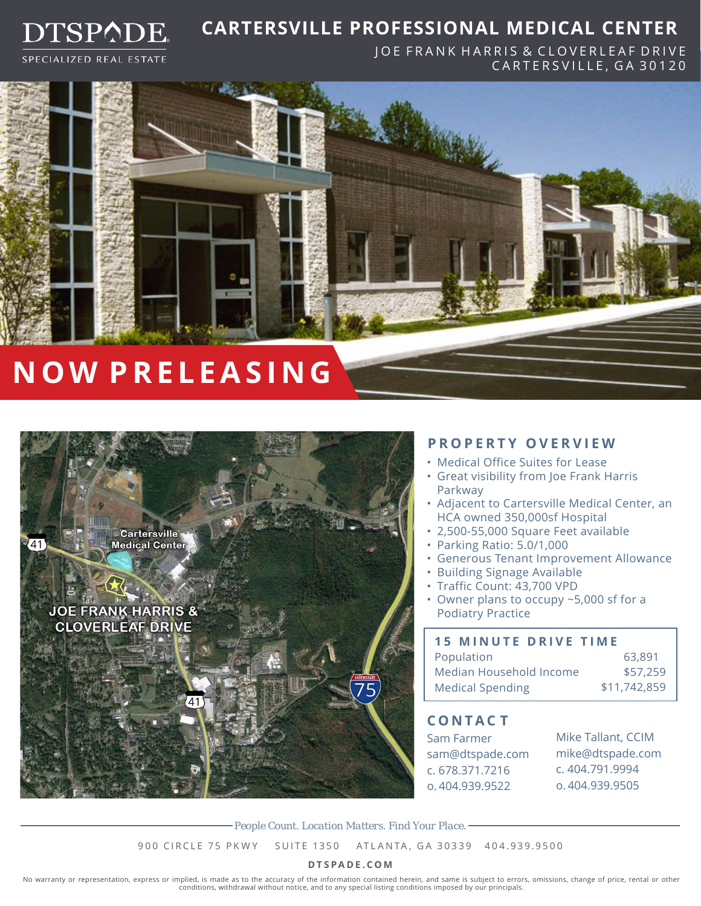

### **CARTERSVILLE PROFESSIONAL MEDICAL CENTER**

SPECIALIZED REAL ESTATE

JOE FRANK HARRIS & CLOVERLEAF DRIVE CARTERSVILLE, GA 30120



# **NOW PRE L EAS I N G**



#### **PROPERTY OVERVIEW**

- Medical Office Suites for Lease
- Great visibility from Joe Frank Harris Parkway
- Adjacent to Cartersville Medical Center, an HCA owned 350,000sf Hospital
- 2,500-55,000 Square Feet available
- Parking Ratio: 5.0/1,000
- Generous Tenant Improvement Allowance
- Building Signage Available
- Traffic Count: 43,700 VPD
- Owner plans to occupy ~5,000 sf for a Podiatry Practice

| <b>15 MINUTE DRIVE TIME</b> |              |
|-----------------------------|--------------|
| Population                  | 63,891       |
| Median Household Income     | \$57,259     |
| <b>Medical Spending</b>     | \$11,742,859 |

#### **CONTAC T**

Sam Farmer sam@dtspade.com c. 678.371.7216 o. 404.939.9522

Mike Tallant, CCIM mike@dtspade.com c. 404.791.9994 o. 404.939.9505

*People Count. Location Matters. Find Your Place.*

900 CIRCLE 75 PKWY SUITE 1350 ATLANTA, GA 30339 404.939.9500

#### **DTSPADE.COM**

No warranty or representation, express or implied, is made as to the accuracy of the information contained herein, and same is subject to errors, omissions, change of price, rental or other conditions, withdrawal without notice, and to any special listing conditions imposed by our principals.